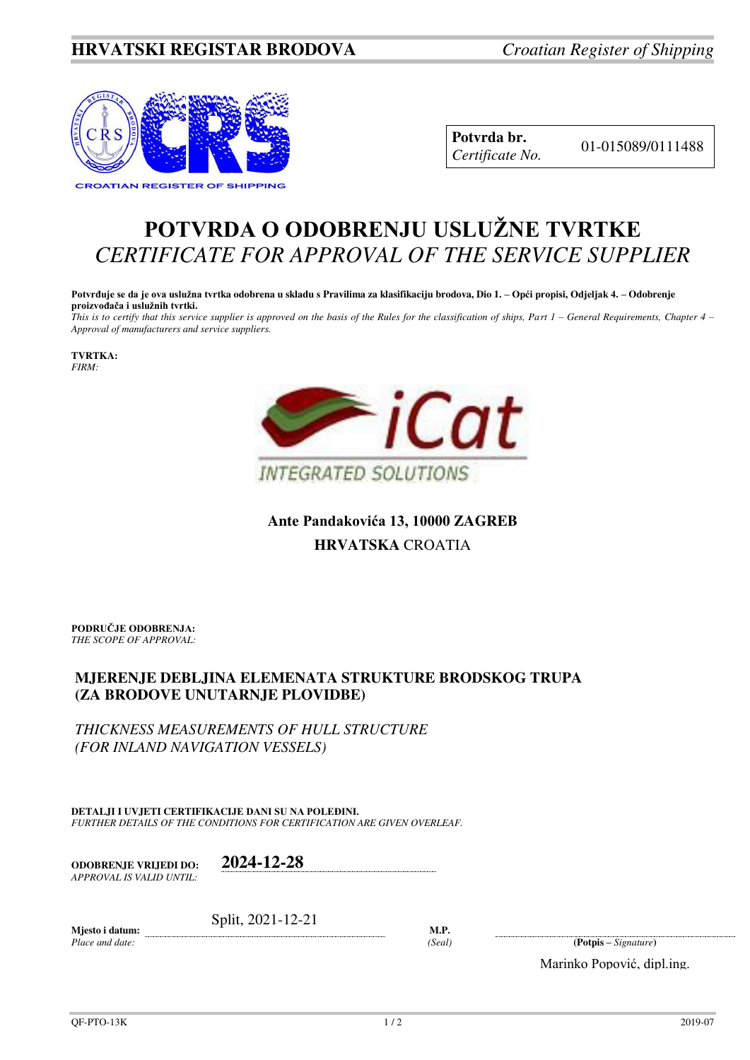## **HRVATSKI REGISTAR BRODOVA** *Croatian Register of Shipping*



**Potvrda br.** 01-015089/0111488 *Certificate No.* 

## **POTVRDA O ODOBRENJU USLUŽNE TVRTKE** *CERTIFICATE FOR APPROVAL OF THE SERVICE SUPPLIER*

**Potvrđuje se da je ova uslužna tvrtka odobrena u skladu s Pravilima za klasifikaciju brodova, Dio 1. – Opći propisi, Odjeljak 4. – Odobrenje proizvođača i uslužnih tvrtki.**

*This is to certify that this service supplier is approved on the basis of the Rules for the classification of ships, Part 1 – General Requirements, Chapter 4 – Approval of manufacturers and service suppliers.* 

**TVRTKA:** *FIRM:*



**Ante Pandakovića 13, 10000 ZAGREB HRVATSKA** CROATIA

**PODRUČJE ODOBRENJA:** *THE SCOPE OF APPROVAL:* 

## **MJERENJE DEBLJINA ELEMENATA STRUKTURE BRODSKOG TRUPA (ZA BRODOVE UNUTARNJE PLOVIDBE)**

*THICKNESS MEASUREMENTS OF HULL STRUCTURE (FOR INLAND NAVIGATION VESSELS)*

**DETALJI I UVJETI CERTIFIKACIJE DANI SU NA POLEĐINI.** *FURTHER DETAILS OF THE CONDITIONS FOR CERTIFICATION ARE GIVEN OVERLEAF.* 

**ODOBRENJE VRIJEDI DO: 2024-12-28** *APPROVAL IS VALID UNTIL:*

Split, 2021-12-21

**Mjesto i datum:**  *Place and date:* 

**M.P.** 

*(Seal)* **(Potpis –** *Signature***)** 

Marinko Popović, dipl.ing.